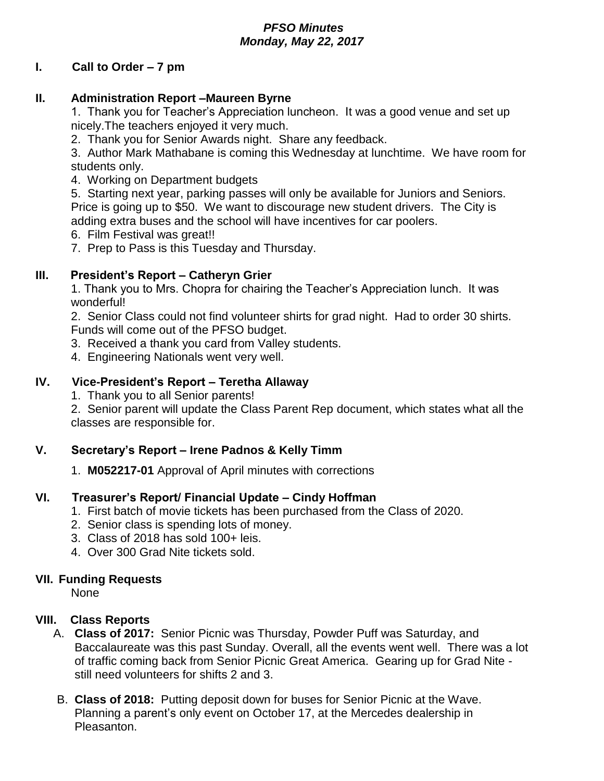# *PFSO Minutes Monday, May 22, 2017*

# **I. Call to Order – 7 pm**

### **II. Administration Report –Maureen Byrne**

1. Thank you for Teacher's Appreciation luncheon. It was a good venue and set up nicely.The teachers enjoyed it very much.

2. Thank you for Senior Awards night. Share any feedback.

3. Author Mark Mathabane is coming this Wednesday at lunchtime. We have room for students only.

4. Working on Department budgets

5. Starting next year, parking passes will only be available for Juniors and Seniors. Price is going up to \$50. We want to discourage new student drivers. The City is adding extra buses and the school will have incentives for car poolers.

- 6. Film Festival was great!!
- 7. Prep to Pass is this Tuesday and Thursday.

# **III. President's Report – Catheryn Grier**

1. Thank you to Mrs. Chopra for chairing the Teacher's Appreciation lunch. It was wonderful!

2. Senior Class could not find volunteer shirts for grad night. Had to order 30 shirts. Funds will come out of the PFSO budget.

- 3. Received a thank you card from Valley students.
- 4. Engineering Nationals went very well.

### **IV. Vice-President's Report – Teretha Allaway**

1. Thank you to all Senior parents!

2. Senior parent will update the Class Parent Rep document, which states what all the classes are responsible for.

# **V. Secretary's Report – Irene Padnos & Kelly Timm**

1. **M052217-01** Approval of April minutes with corrections

#### **VI. Treasurer's Report/ Financial Update – Cindy Hoffman**

- 1. First batch of movie tickets has been purchased from the Class of 2020.
- 2. Senior class is spending lots of money.
- 3. Class of 2018 has sold 100+ leis.
- 4. Over 300 Grad Nite tickets sold.

#### **VII. Funding Requests**

None

# **VIII. Class Reports**

- A. **Class of 2017:** Senior Picnic was Thursday, Powder Puff was Saturday, and Baccalaureate was this past Sunday. Overall, all the events went well. There was a lot of traffic coming back from Senior Picnic Great America. Gearing up for Grad Nite still need volunteers for shifts 2 and 3.
- B. **Class of 2018:** Putting deposit down for buses for Senior Picnic at the Wave. Planning a parent's only event on October 17, at the Mercedes dealership in Pleasanton.